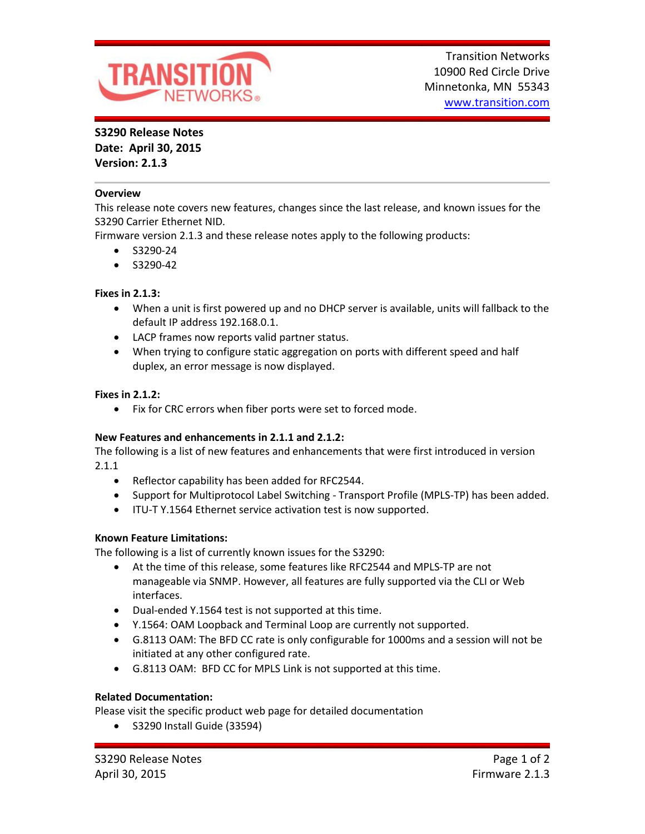

# **S3290 Release Notes**

**Date: April 30, 2015 Version: 2.1.3**

## **Overview**

This release note covers new features, changes since the last release, and known issues for the S3290 Carrier Ethernet NID.

Firmware version 2.1.3 and these release notes apply to the following products:

- $\bullet$  S3290-24
- $\bullet$  S3290-42

## **Fixes in 2.1.3:**

- When a unit is first powered up and no DHCP server is available, units will fallback to the default IP address 192.168.0.1.
- LACP frames now reports valid partner status.
- When trying to configure static aggregation on ports with different speed and half duplex, an error message is now displayed.

## **Fixes in 2.1.2:**

Fix for CRC errors when fiber ports were set to forced mode.

## **New Features and enhancements in 2.1.1 and 2.1.2:**

The following is a list of new features and enhancements that were first introduced in version 2.1.1

- Reflector capability has been added for RFC2544.
- Support for Multiprotocol Label Switching Transport Profile (MPLS-TP) has been added.
- ITU-T Y.1564 Ethernet service activation test is now supported.

## **Known Feature Limitations:**

The following is a list of currently known issues for the S3290:

- At the time of this release, some features like RFC2544 and MPLS-TP are not manageable via SNMP. However, all features are fully supported via the CLI or Web interfaces.
- Dual-ended Y.1564 test is not supported at this time.
- Y.1564: OAM Loopback and Terminal Loop are currently not supported.
- G.8113 OAM: The BFD CC rate is only configurable for 1000ms and a session will not be initiated at any other configured rate.
- G.8113 OAM: BFD CC for MPLS Link is not supported at this time.

## **Related Documentation:**

Please visit the specific product web page for detailed documentation

S3290 Install Guide (33594)